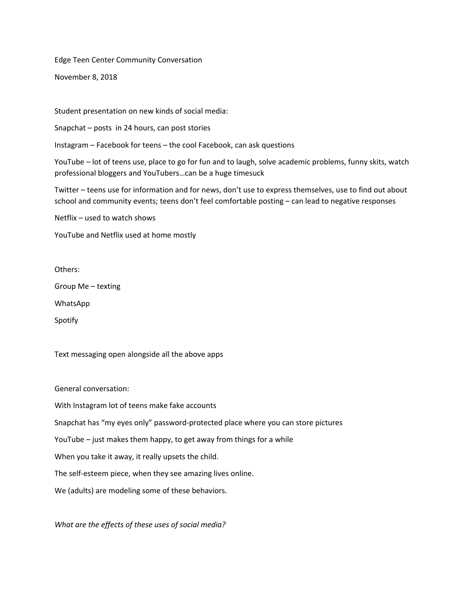Edge Teen Center Community Conversation

November 8, 2018

Student presentation on new kinds of social media:

Snapchat – posts in 24 hours, can post stories

Instagram – Facebook for teens – the cool Facebook, can ask questions

YouTube – lot of teens use, place to go for fun and to laugh, solve academic problems, funny skits, watch professional bloggers and YouTubers…can be a huge timesuck

Twitter – teens use for information and for news, don't use to express themselves, use to find out about school and community events; teens don't feel comfortable posting – can lead to negative responses

Netflix – used to watch shows

YouTube and Netflix used at home mostly

Others:

Group Me – texting

WhatsApp

Spotify

Text messaging open alongside all the above apps

General conversation:

With Instagram lot of teens make fake accounts

Snapchat has "my eyes only" password-protected place where you can store pictures

YouTube – just makes them happy, to get away from things for a while

When you take it away, it really upsets the child.

The self-esteem piece, when they see amazing lives online.

We (adults) are modeling some of these behaviors.

*What are the effects of these uses of social media?*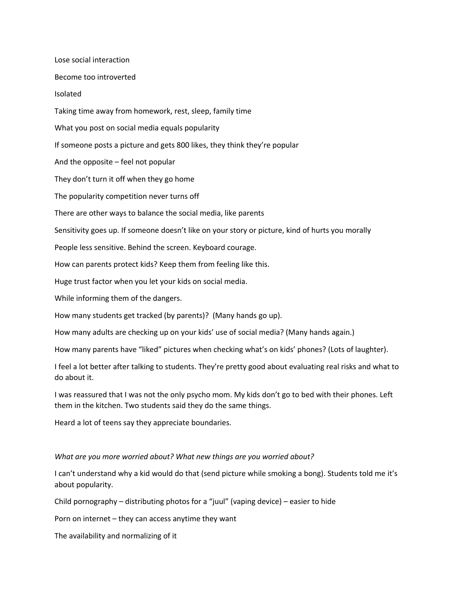Lose social interaction Become too introverted Isolated Taking time away from homework, rest, sleep, family time What you post on social media equals popularity If someone posts a picture and gets 800 likes, they think they're popular And the opposite – feel not popular They don't turn it off when they go home The popularity competition never turns off There are other ways to balance the social media, like parents Sensitivity goes up. If someone doesn't like on your story or picture, kind of hurts you morally People less sensitive. Behind the screen. Keyboard courage. How can parents protect kids? Keep them from feeling like this. Huge trust factor when you let your kids on social media. While informing them of the dangers. How many students get tracked (by parents)? (Many hands go up). How many adults are checking up on your kids' use of social media? (Many hands again.) How many parents have "liked" pictures when checking what's on kids' phones? (Lots of laughter). I feel a lot better after talking to students. They're pretty good about evaluating real risks and what to do about it.

I was reassured that I was not the only psycho mom. My kids don't go to bed with their phones. Left them in the kitchen. Two students said they do the same things.

Heard a lot of teens say they appreciate boundaries.

## *What are you more worried about? What new things are you worried about?*

I can't understand why a kid would do that (send picture while smoking a bong). Students told me it's about popularity.

Child pornography – distributing photos for a "juul" (vaping device) – easier to hide

Porn on internet – they can access anytime they want

The availability and normalizing of it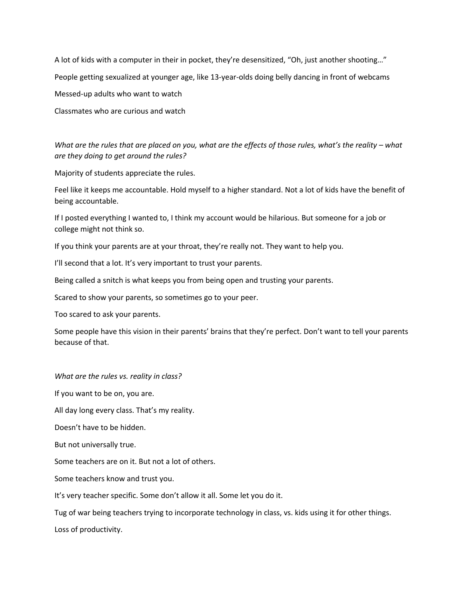A lot of kids with a computer in their in pocket, they're desensitized, "Oh, just another shooting…" People getting sexualized at younger age, like 13-year-olds doing belly dancing in front of webcams Messed-up adults who want to watch Classmates who are curious and watch

## *What are the rules that are placed on you, what are the effects of those rules, what's the reality – what are they doing to get around the rules?*

Majority of students appreciate the rules.

Feel like it keeps me accountable. Hold myself to a higher standard. Not a lot of kids have the benefit of being accountable.

If I posted everything I wanted to, I think my account would be hilarious. But someone for a job or college might not think so.

If you think your parents are at your throat, they're really not. They want to help you.

I'll second that a lot. It's very important to trust your parents.

Being called a snitch is what keeps you from being open and trusting your parents.

Scared to show your parents, so sometimes go to your peer.

Too scared to ask your parents.

Some people have this vision in their parents' brains that they're perfect. Don't want to tell your parents because of that.

*What are the rules vs. reality in class?*

If you want to be on, you are.

All day long every class. That's my reality.

Doesn't have to be hidden.

But not universally true.

Some teachers are on it. But not a lot of others.

Some teachers know and trust you.

It's very teacher specific. Some don't allow it all. Some let you do it.

Tug of war being teachers trying to incorporate technology in class, vs. kids using it for other things.

Loss of productivity.